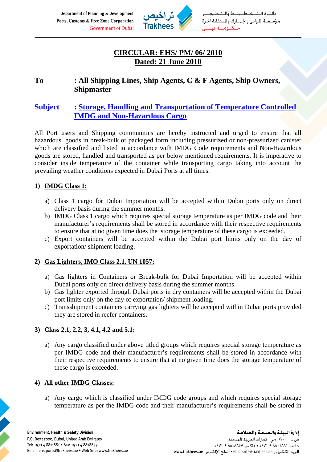Department of Planning & Development Ports, Customs & Free Zone Corporation **Government of Dubai** 



خط ـط والـتـ ءة الت مؤسسة الموانئ والجمارك والنطقة الحرة حــكــومـــة دى

# **CIRCULAR: EHS/ PM/ 06/ 2010 Dated: 21 June 2010**

## **To : All Shipping Lines, Ship Agents, C & F Agents, Ship Owners, Shipmaster**

# **Subject : Storage, Handling and Transportation of Temperature Controlled IMDG and Non-Hazardous Cargo**

All Port users and Shipping communities are hereby instructed and urged to ensure that all hazardous goods in break-bulk or packaged form including pressurized or non-pressurized canister which are classified and listed in accordance with IMDG Code requirements and Non-Hazardous goods are stored, handled and transported as per below mentioned requirements. It is imperative to consider inside temperature of the container while transporting cargo taking into account the prevailing weather conditions expected in Dubai Ports at all times.

### **1) IMDG Class 1:**

- a) Class 1 cargo for Dubai Importation will be accepted within Dubai ports only on direct delivery basis during the summer months.
- b) IMDG Class 1 cargo which requires special storage temperature as per IMDG code and their manufacturer's requirements shall be stored in accordance with their respective requirements to ensure that at no given time does the storage temperature of these cargo is exceeded.
- c) Export containers will be accepted within the Dubai port limits only on the day of exportation/ shipment loading.

#### **2) Gas Lighters, IMO Class 2.1, UN 1057:**

- a) Gas lighters in Containers or Break-bulk for Dubai Importation will be accepted within Dubai ports only on direct delivery basis during the summer months.
- b) Gas lighter exported through Dubai ports in dry containers will be accepted within the Dubai port limits only on the day of exportation/ shipment loading.
- c) Transshipment containers carrying gas lighters will be accepted within Dubai ports provided they are stored in reefer containers.

### **3) Class 2.1, 2.2, 3, 4.1, 4.2 and 5.1:**

a) Any cargo classified under above titled groups which requires special storage temperature as per IMDG code and their manufacturer's requirements shall be stored in accordance with their respective requirements to ensure that at no given time does the storage temperature of these cargo is exceeded.

#### **4) All other IMDG Classes:**

a) Any cargo which is classified under IMDG code groups and which requires special storage temperature as per the IMDG code and their manufacturer's requirements shall be stored in